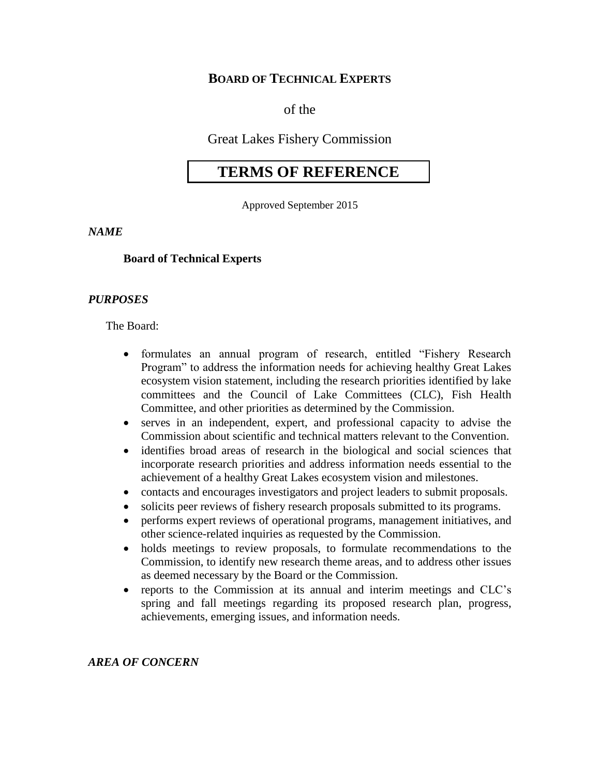# **BOARD OF TECHNICAL EXPERTS**

of the

Great Lakes Fishery Commission

# **TERMS OF REFERENCE**

Approved September 2015

*NAME*

## **Board of Technical Experts**

### *PURPOSES*

The Board:

- formulates an annual program of research, entitled "Fishery Research Program" to address the information needs for achieving healthy Great Lakes ecosystem vision statement, including the research priorities identified by lake committees and the Council of Lake Committees (CLC), Fish Health Committee, and other priorities as determined by the Commission.
- serves in an independent, expert, and professional capacity to advise the Commission about scientific and technical matters relevant to the Convention.
- identifies broad areas of research in the biological and social sciences that incorporate research priorities and address information needs essential to the achievement of a healthy Great Lakes ecosystem vision and milestones.
- contacts and encourages investigators and project leaders to submit proposals.
- solicits peer reviews of fishery research proposals submitted to its programs.
- performs expert reviews of operational programs, management initiatives, and other science-related inquiries as requested by the Commission.
- holds meetings to review proposals, to formulate recommendations to the Commission, to identify new research theme areas, and to address other issues as deemed necessary by the Board or the Commission.
- reports to the Commission at its annual and interim meetings and CLC's spring and fall meetings regarding its proposed research plan, progress, achievements, emerging issues, and information needs.

#### *AREA OF CONCERN*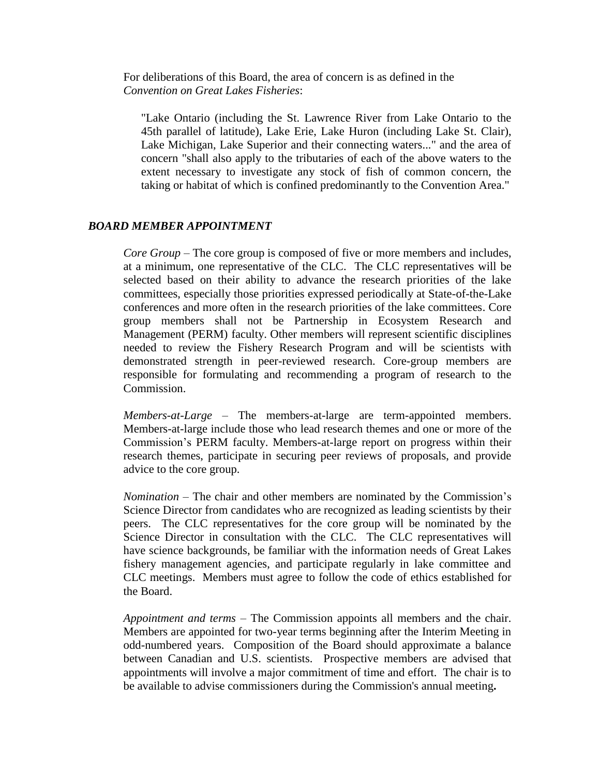For deliberations of this Board, the area of concern is as defined in the *Convention on Great Lakes Fisheries*:

"Lake Ontario (including the St. Lawrence River from Lake Ontario to the 45th parallel of latitude), Lake Erie, Lake Huron (including Lake St. Clair), Lake Michigan, Lake Superior and their connecting waters..." and the area of concern "shall also apply to the tributaries of each of the above waters to the extent necessary to investigate any stock of fish of common concern, the taking or habitat of which is confined predominantly to the Convention Area."

#### *BOARD MEMBER APPOINTMENT*

*Core Group* – The core group is composed of five or more members and includes, at a minimum, one representative of the CLC. The CLC representatives will be selected based on their ability to advance the research priorities of the lake committees, especially those priorities expressed periodically at State-of-the-Lake conferences and more often in the research priorities of the lake committees. Core group members shall not be Partnership in Ecosystem Research and Management (PERM) faculty. Other members will represent scientific disciplines needed to review the Fishery Research Program and will be scientists with demonstrated strength in peer-reviewed research. Core-group members are responsible for formulating and recommending a program of research to the Commission.

*Members-at-Large* – The members-at-large are term-appointed members. Members-at-large include those who lead research themes and one or more of the Commission's PERM faculty. Members-at-large report on progress within their research themes, participate in securing peer reviews of proposals, and provide advice to the core group.

*Nomination* – The chair and other members are nominated by the Commission's Science Director from candidates who are recognized as leading scientists by their peers. The CLC representatives for the core group will be nominated by the Science Director in consultation with the CLC. The CLC representatives will have science backgrounds, be familiar with the information needs of Great Lakes fishery management agencies, and participate regularly in lake committee and CLC meetings. Members must agree to follow the code of ethics established for the Board.

*Appointment and terms* – The Commission appoints all members and the chair. Members are appointed for two-year terms beginning after the Interim Meeting in odd-numbered years. Composition of the Board should approximate a balance between Canadian and U.S. scientists. Prospective members are advised that appointments will involve a major commitment of time and effort. The chair is to be available to advise commissioners during the Commission's annual meeting**.**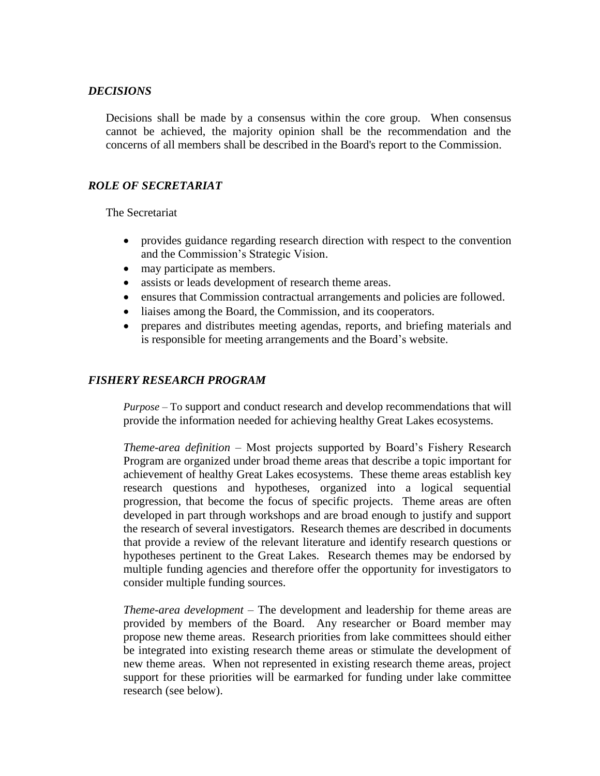## *DECISIONS*

Decisions shall be made by a consensus within the core group. When consensus cannot be achieved, the majority opinion shall be the recommendation and the concerns of all members shall be described in the Board's report to the Commission.

## *ROLE OF SECRETARIAT*

The Secretariat

- provides guidance regarding research direction with respect to the convention and the Commission's Strategic Vision.
- may participate as members.
- assists or leads development of research theme areas.
- ensures that Commission contractual arrangements and policies are followed.
- liaises among the Board, the Commission, and its cooperators.
- prepares and distributes meeting agendas, reports, and briefing materials and is responsible for meeting arrangements and the Board's website.

## *FISHERY RESEARCH PROGRAM*

*Purpose –* To support and conduct research and develop recommendations that will provide the information needed for achieving healthy Great Lakes ecosystems.

*Theme-area definition* – Most projects supported by Board's Fishery Research Program are organized under broad theme areas that describe a topic important for achievement of healthy Great Lakes ecosystems. These theme areas establish key research questions and hypotheses, organized into a logical sequential progression, that become the focus of specific projects. Theme areas are often developed in part through workshops and are broad enough to justify and support the research of several investigators. Research themes are described in documents that provide a review of the relevant literature and identify research questions or hypotheses pertinent to the Great Lakes. Research themes may be endorsed by multiple funding agencies and therefore offer the opportunity for investigators to consider multiple funding sources.

*Theme-area development* – The development and leadership for theme areas are provided by members of the Board. Any researcher or Board member may propose new theme areas. Research priorities from lake committees should either be integrated into existing research theme areas or stimulate the development of new theme areas. When not represented in existing research theme areas, project support for these priorities will be earmarked for funding under lake committee research (see below).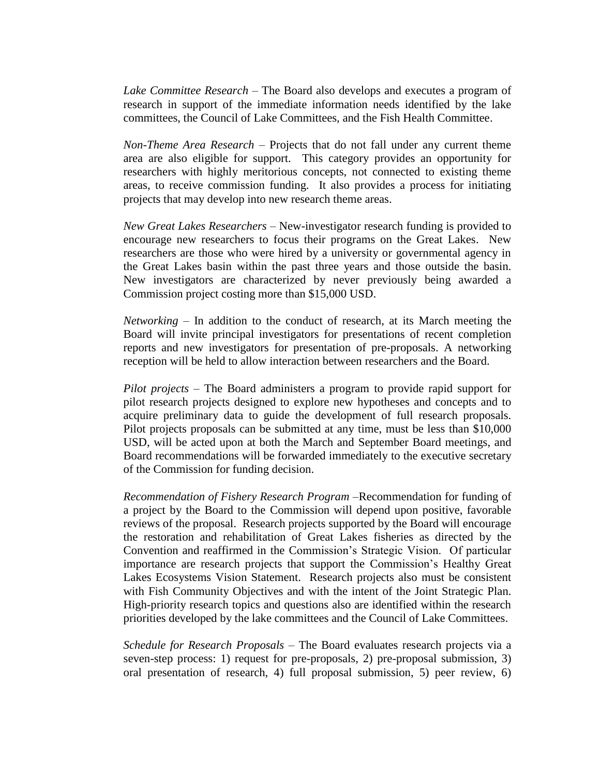*Lake Committee Research* – The Board also develops and executes a program of research in support of the immediate information needs identified by the lake committees, the Council of Lake Committees, and the Fish Health Committee.

*Non-Theme Area Research* – Projects that do not fall under any current theme area are also eligible for support. This category provides an opportunity for researchers with highly meritorious concepts, not connected to existing theme areas, to receive commission funding. It also provides a process for initiating projects that may develop into new research theme areas.

*New Great Lakes Researchers* – New-investigator research funding is provided to encourage new researchers to focus their programs on the Great Lakes. New researchers are those who were hired by a university or governmental agency in the Great Lakes basin within the past three years and those outside the basin. New investigators are characterized by never previously being awarded a Commission project costing more than \$15,000 USD.

*Networking* – In addition to the conduct of research, at its March meeting the Board will invite principal investigators for presentations of recent completion reports and new investigators for presentation of pre-proposals. A networking reception will be held to allow interaction between researchers and the Board.

*Pilot projects* – The Board administers a program to provide rapid support for pilot research projects designed to explore new hypotheses and concepts and to acquire preliminary data to guide the development of full research proposals. Pilot projects proposals can be submitted at any time, must be less than \$10,000 USD, will be acted upon at both the March and September Board meetings, and Board recommendations will be forwarded immediately to the executive secretary of the Commission for funding decision.

*Recommendation of Fishery Research Program* –Recommendation for funding of a project by the Board to the Commission will depend upon positive, favorable reviews of the proposal. Research projects supported by the Board will encourage the restoration and rehabilitation of Great Lakes fisheries as directed by the Convention and reaffirmed in the Commission's Strategic Vision. Of particular importance are research projects that support the Commission's Healthy Great Lakes Ecosystems Vision Statement. Research projects also must be consistent with Fish Community Objectives and with the intent of the Joint Strategic Plan. High-priority research topics and questions also are identified within the research priorities developed by the lake committees and the Council of Lake Committees.

*Schedule for Research Proposals* – The Board evaluates research projects via a seven-step process: 1) request for pre-proposals, 2) pre-proposal submission, 3) oral presentation of research, 4) full proposal submission, 5) peer review, 6)